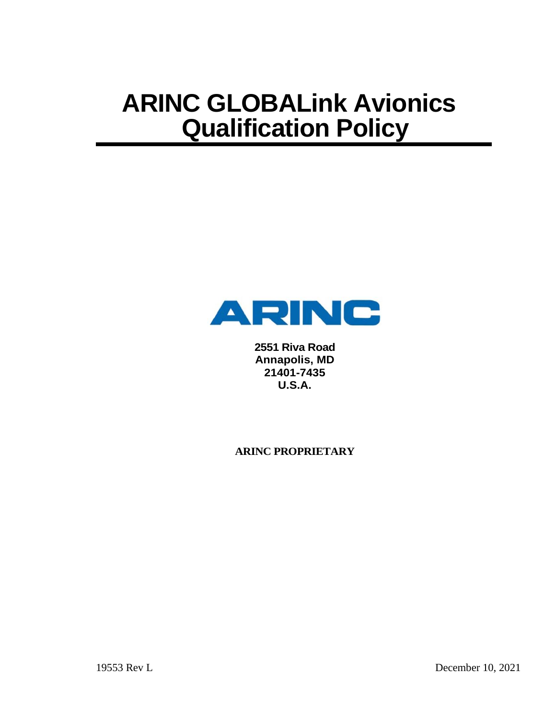

**2551 Riva Road Annapolis, MD 21401-7435 U.S.A.**

**ARINC PROPRIETARY**

19553 Rev L December 10, 2021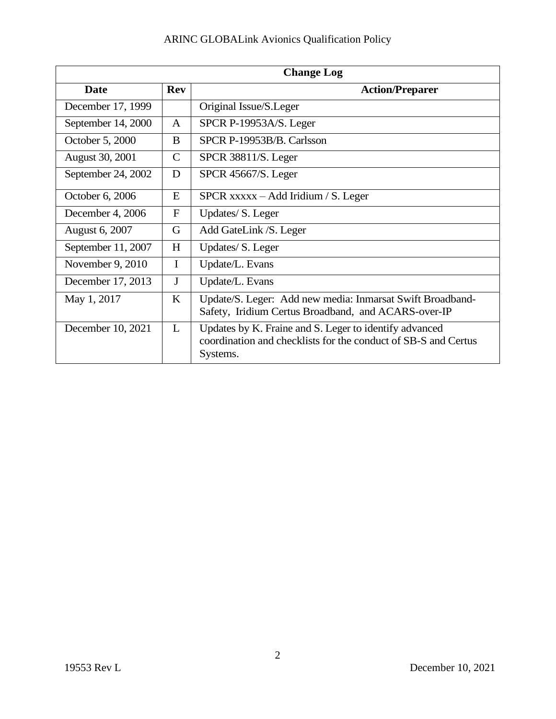| <b>Change Log</b>  |              |                                                                                                                                      |
|--------------------|--------------|--------------------------------------------------------------------------------------------------------------------------------------|
| <b>Date</b>        | <b>Rev</b>   | <b>Action/Preparer</b>                                                                                                               |
| December 17, 1999  |              | Original Issue/S.Leger                                                                                                               |
| September 14, 2000 | $\mathbf{A}$ | SPCR P-19953A/S. Leger                                                                                                               |
| October 5, 2000    | B.           | SPCR P-19953B/B. Carlsson                                                                                                            |
| August 30, 2001    | $\mathsf{C}$ | SPCR 38811/S. Leger                                                                                                                  |
| September 24, 2002 | D            | SPCR 45667/S. Leger                                                                                                                  |
| October 6, 2006    | E            | $SPCR$ xxxxx – Add Iridium / S. Leger                                                                                                |
| December 4, 2006   | $\mathbf{F}$ | Updates/S. Leger                                                                                                                     |
| August 6, 2007     | G            | Add GateLink / S. Leger                                                                                                              |
| September 11, 2007 | H            | Updates/S. Leger                                                                                                                     |
| November 9, 2010   | $\mathbf I$  | Update/L. Evans                                                                                                                      |
| December 17, 2013  | $\mathbf{J}$ | Update/L. Evans                                                                                                                      |
| May 1, 2017        | K            | Update/S. Leger: Add new media: Inmarsat Swift Broadband-<br>Safety, Iridium Certus Broadband, and ACARS-over-IP                     |
| December 10, 2021  | L            | Updates by K. Fraine and S. Leger to identify advanced<br>coordination and checklists for the conduct of SB-S and Certus<br>Systems. |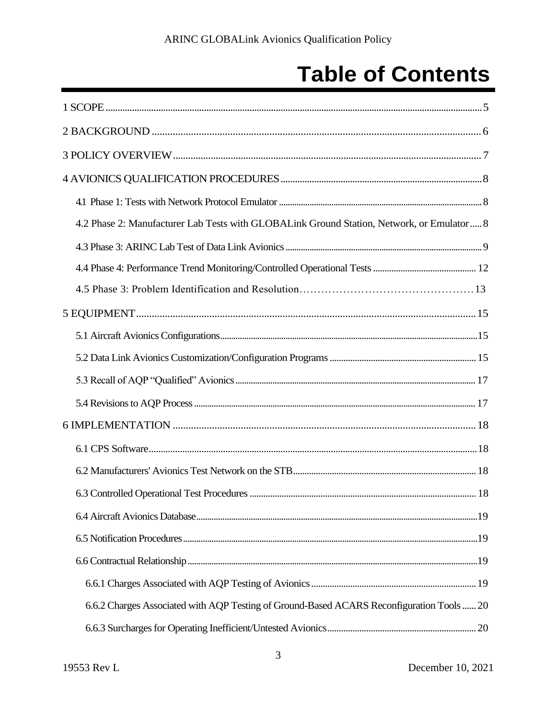## **Table of Contents**

| 4.2 Phase 2: Manufacturer Lab Tests with GLOBALink Ground Station, Network, or Emulator 8 |
|-------------------------------------------------------------------------------------------|
|                                                                                           |
|                                                                                           |
|                                                                                           |
|                                                                                           |
|                                                                                           |
|                                                                                           |
|                                                                                           |
|                                                                                           |
|                                                                                           |
|                                                                                           |
|                                                                                           |
|                                                                                           |
|                                                                                           |
|                                                                                           |
|                                                                                           |
|                                                                                           |
| 6.6.2 Charges Associated with AQP Testing of Ground-Based ACARS Reconfiguration Tools  20 |
|                                                                                           |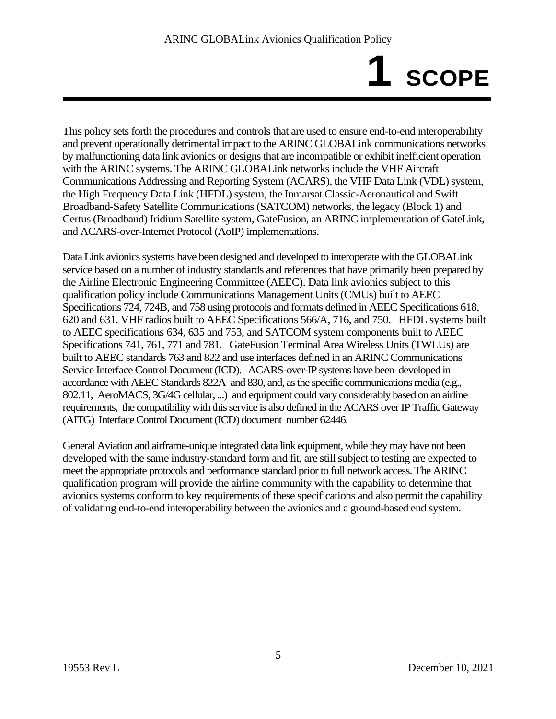# **1 SCOPE**

This policy sets forth the procedures and controls that are used to ensure end-to-end interoperability and prevent operationally detrimental impact to the ARINC GLOBALink communications networks by malfunctioning data link avionics or designs that are incompatible or exhibit inefficient operation with the ARINC systems. The ARINC GLOBALink networks include the VHF Aircraft Communications Addressing and Reporting System (ACARS), the VHF Data Link (VDL) system, the High Frequency Data Link (HFDL) system, the Inmarsat Classic-Aeronautical and Swift Broadband-Safety Satellite Communications(SATCOM) networks, the legacy (Block 1) and Certus (Broadband) Iridium Satellite system, GateFusion, an ARINC implementation of GateLink, and ACARS-over-Internet Protocol (AoIP) implementations.

Data Link avionics systems have been designed and developed to interoperate with the GLOBALink service based on a number of industry standards and references that have primarily been prepared by the Airline Electronic Engineering Committee (AEEC). Data link avionics subject to this qualification policy include Communications Management Units (CMUs) built to AEEC Specifications 724, 724B, and 758 using protocols and formats defined in AEEC Specifications 618, 620 and 631. VHF radios built to AEEC Specifications 566/A, 716, and 750. HFDL systems built to AEEC specifications 634, 635 and 753, and SATCOM system components built to AEEC Specifications 741, 761, 771 and 781. GateFusion Terminal Area Wireless Units (TWLUs) are built to AEEC standards 763 and 822 and use interfaces defined in an ARINC Communications Service Interface Control Document (ICD). ACARS-over-IP systems have been developed in accordance with AEEC Standards 822A and 830, and, as the specific communications media (e.g., 802.11, AeroMACS, 3G/4G cellular, ...) and equipment could vary considerably based on an airline requirements, the compatibility with this service is also defined in the ACARS over IP Traffic Gateway (AITG) Interface Control Document (ICD) document number 62446.

General Aviation and airframe-unique integrated data link equipment, while they may have not been developed with the same industry-standard form and fit, are still subject to testing are expected to meet the appropriate protocols and performance standard prior to full network access. The ARINC qualification program will provide the airline community with the capability to determine that avionics systems conform to key requirements of these specifications and also permit the capability of validating end-to-end interoperability between the avionics and a ground-based end system.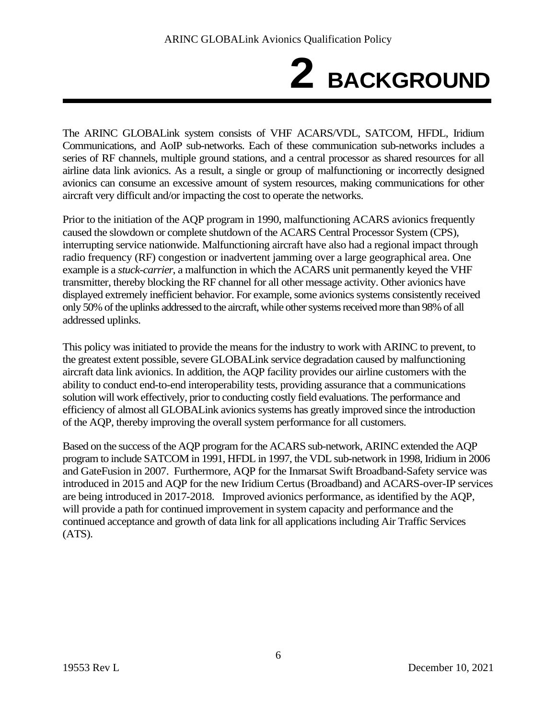# **2 BACKGROUND**

The ARINC GLOBALink system consists of VHF ACARS/VDL, SATCOM, HFDL, Iridium Communications, and AoIP sub-networks. Each of these communication sub-networks includes a series of RF channels, multiple ground stations, and a central processor as shared resources for all airline data link avionics. As a result, a single or group of malfunctioning or incorrectly designed avionics can consume an excessive amount of system resources, making communications for other aircraft very difficult and/or impacting the cost to operate the networks.

Prior to the initiation of the AQP program in 1990, malfunctioning ACARS avionics frequently caused the slowdown or complete shutdown of the ACARS Central Processor System (CPS), interrupting service nationwide. Malfunctioning aircraft have also had a regional impact through radio frequency (RF) congestion or inadvertent jamming over a large geographical area. One example is a *stuck-carrier*, a malfunction in which the ACARS unit permanently keyed the VHF transmitter, thereby blocking the RF channel for all other message activity. Other avionics have displayed extremely inefficient behavior. For example, some avionics systems consistently received only 50% of the uplinks addressed to the aircraft, while other systems received more than 98% of all addressed uplinks.

This policy was initiated to provide the means for the industry to work with ARINC to prevent, to the greatest extent possible, severe GLOBALink service degradation caused by malfunctioning aircraft data link avionics. In addition, the AQP facility provides our airline customers with the ability to conduct end-to-end interoperability tests, providing assurance that a communications solution will work effectively, prior to conducting costly field evaluations. The performance and efficiency of almost all GLOBALink avionics systems has greatly improved since the introduction of the AQP, thereby improving the overall system performance for all customers.

Based on the success of the AQP program for the ACARS sub-network, ARINC extended the AQP program to include SATCOM in 1991, HFDL in 1997, the VDL sub-network in 1998, Iridium in 2006 and GateFusion in 2007. Furthermore, AQP for the Inmarsat Swift Broadband-Safety service was introduced in 2015 and AQP for the new Iridium Certus (Broadband) and ACARS-over-IP services are being introduced in 2017-2018. Improved avionics performance, as identified by the AQP, will provide a path for continued improvement in system capacity and performance and the continued acceptance and growth of data link for all applications including Air Traffic Services (ATS).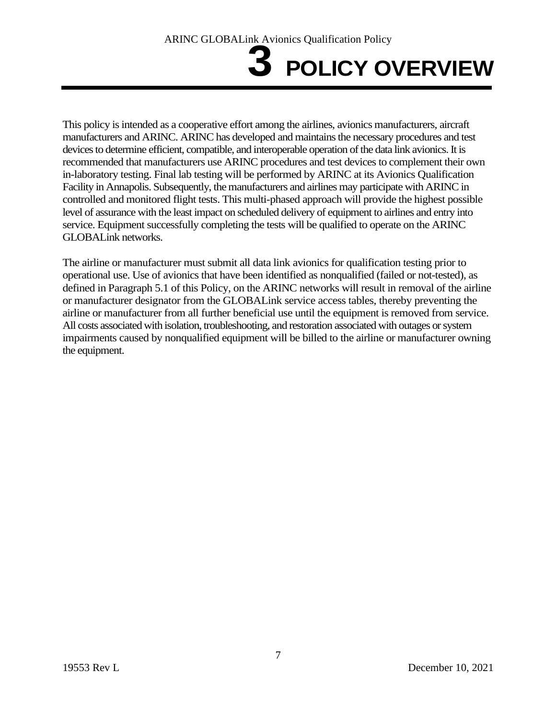# **3 POLICY OVERVIEW**

This policy is intended as a cooperative effort among the airlines, avionics manufacturers, aircraft manufacturers and ARINC. ARINC has developed and maintains the necessary procedures and test devices to determine efficient, compatible, and interoperable operation of the data link avionics. It is recommended that manufacturers use ARINC procedures and test devices to complement their own in-laboratory testing. Final lab testing will be performed by ARINC at its Avionics Qualification Facility in Annapolis. Subsequently, the manufacturers and airlines may participate with ARINC in controlled and monitored flight tests. This multi-phased approach will provide the highest possible level of assurance with the least impact on scheduled delivery of equipment to airlines and entry into service. Equipment successfully completing the tests will be qualified to operate on the ARINC GLOBALink networks.

The airline or manufacturer must submit all data link avionics for qualification testing prior to operational use. Use of avionics that have been identified as nonqualified (failed or not-tested), as defined in Paragraph 5.1 of this Policy, on the ARINC networks will result in removal of the airline or manufacturer designator from the GLOBALink service access tables, thereby preventing the airline or manufacturer from all further beneficial use until the equipment is removed from service. All costs associated with isolation, troubleshooting, and restoration associated with outages or system impairments caused by nonqualified equipment will be billed to the airline or manufacturer owning the equipment.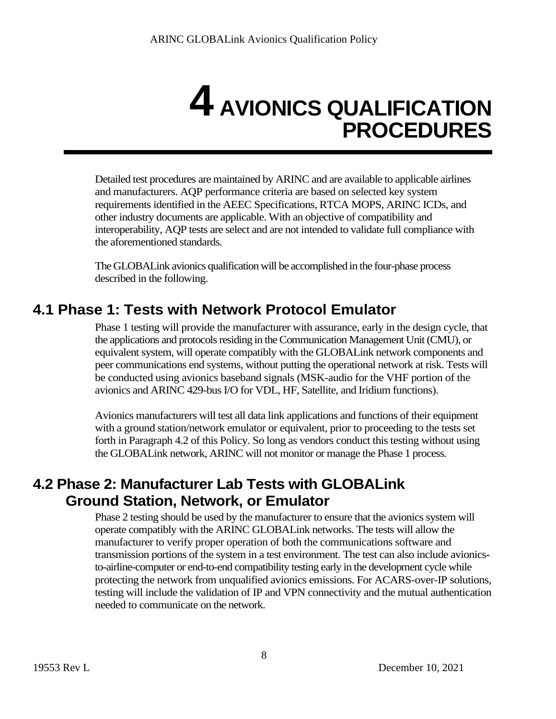## **4 AVIONICS QUALIFICATION PROCEDURES**

Detailed test procedures are maintained by ARINC and are available to applicable airlines and manufacturers. AQP performance criteria are based on selected key system requirements identified in the AEEC Specifications, RTCA MOPS, ARINC ICDs, and other industry documents are applicable. With an objective of compatibility and interoperability, AQP tests are select and are not intended to validate full compliance with the aforementioned standards.

The GLOBALink avionics qualification will be accomplished in the four-phase process described in the following.

### **4.1 Phase 1: Tests with Network Protocol Emulator**

Phase 1 testing will provide the manufacturer with assurance, early in the design cycle, that the applications and protocols residing in the Communication Management Unit (CMU), or equivalent system, will operate compatibly with the GLOBALink network components and peer communications end systems, without putting the operational network at risk. Tests will be conducted using avionics baseband signals (MSK-audio for the VHF portion of the avionics and ARINC 429-bus I/O for VDL, HF, Satellite, and Iridium functions).

Avionics manufacturers will test all data link applications and functions of their equipment with a ground station/network emulator or equivalent, prior to proceeding to the tests set forth in Paragraph 4.2 of this Policy. So long as vendors conduct this testing without using the GLOBALink network, ARINC will not monitor or manage the Phase 1 process.

#### **4.2 Phase 2: Manufacturer Lab Tests with GLOBALink Ground Station, Network, or Emulator**

Phase 2 testing should be used by the manufacturer to ensure that the avionics system will operate compatibly with the ARINC GLOBALink networks. The tests will allow the manufacturer to verify proper operation of both the communications software and transmission portions of the system in a test environment. The test can also include avionicsto-airline-computer or end-to-end compatibility testing early in the development cycle while protecting the network from unqualified avionics emissions. For ACARS-over-IP solutions, testing will include the validation of IP and VPN connectivity and the mutual authentication needed to communicate on the network.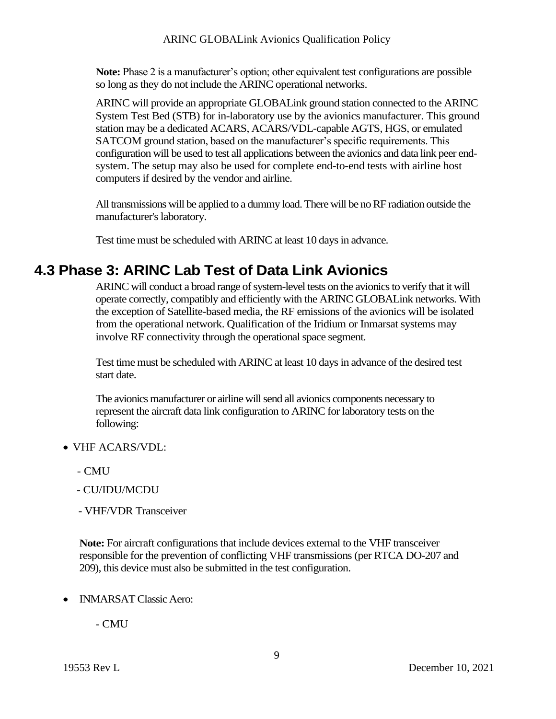**Note:** Phase 2 is a manufacturer's option; other equivalent test configurations are possible so long as they do not include the ARINC operational networks.

ARINC will provide an appropriate GLOBALink ground station connected to the ARINC System Test Bed (STB) for in-laboratory use by the avionics manufacturer. This ground station may be a dedicated ACARS, ACARS/VDL-capable AGTS, HGS, or emulated SATCOM ground station, based on the manufacturer's specific requirements. This configuration will be used to test all applications between the avionics and data link peer endsystem. The setup may also be used for complete end-to-end tests with airline host computers if desired by the vendor and airline.

All transmissions will be applied to a dummy load. There will be no RF radiation outside the manufacturer's laboratory.

Test time must be scheduled with ARINC at least 10 days in advance.

#### **4.3 Phase 3: ARINC Lab Test of Data Link Avionics**

ARINC will conduct a broad range of system-level tests on the avionics to verify that it will operate correctly, compatibly and efficiently with the ARINC GLOBALink networks. With the exception of Satellite-based media, the RF emissions of the avionics will be isolated from the operational network. Qualification of the Iridium or Inmarsat systems may involve RF connectivity through the operational space segment.

Test time must be scheduled with ARINC at least 10 days in advance of the desired test start date.

The avionics manufacturer or airline will send all avionics components necessary to represent the aircraft data link configuration to ARINC for laboratory tests on the following:

- VHF ACARS/VDL:
	- CMU
	- CU/IDU/MCDU
	- VHF/VDR Transceiver

**Note:** For aircraft configurations that include devices external to the VHF transceiver responsible for the prevention of conflicting VHF transmissions (per RTCA DO-207 and 209), this device must also be submitted in the test configuration.

• **INMARSAT Classic Aero:** 

- CMU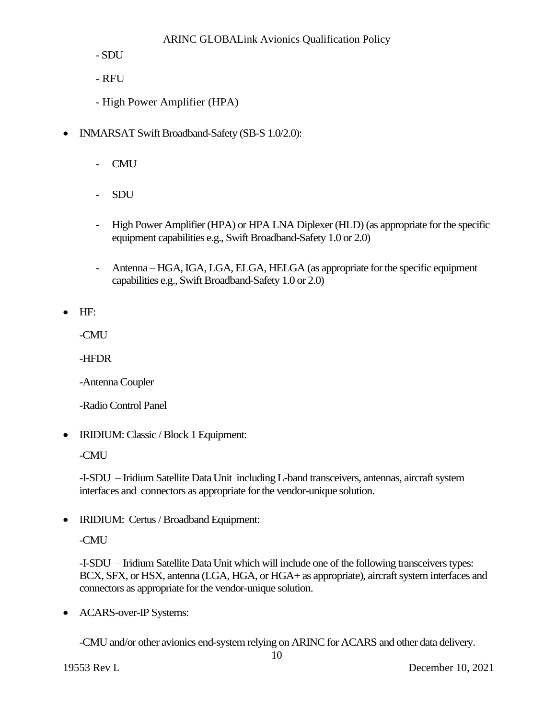- SDU

- RFU
- High Power Amplifier (HPA)
- INMARSAT Swift Broadband-Safety (SB-S 1.0/2.0):
	- CMU
	- SDU
	- High Power Amplifier(HPA) or HPA LNA Diplexer (HLD)(as appropriate for the specific equipment capabilities e.g., Swift Broadband-Safety 1.0 or 2.0)
	- Antenna HGA, IGA, LGA, ELGA, HELGA (as appropriate for the specific equipment capabilities e.g., Swift Broadband-Safety 1.0 or 2.0)

• HF:

-CMU

-HFDR

-AntennaCoupler

-Radio Control Panel

• IRIDIUM: Classic / Block 1 Equipment:

-CMU

-I-SDU – Iridium Satellite Data Unit including L-band transceivers, antennas, aircraft system interfaces and connectors as appropriate for the vendor-unique solution.

• IRIDIUM: Certus / Broadband Equipment:

-CMU

-I-SDU – Iridium Satellite Data Unit which will include one of the following transceivers types: BCX, SFX, or HSX, antenna (LGA, HGA, or HGA+ as appropriate), aircraft system interfaces and connectors as appropriate for the vendor-unique solution.

• ACARS-over-IP Systems:

-CMU and/or other avionics end-system relying on ARINC for ACARS and other data delivery.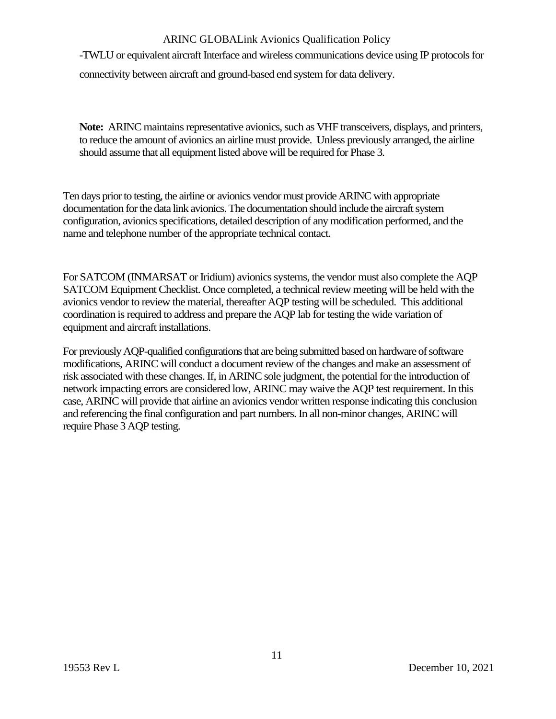-TWLU or equivalent aircraft Interface and wireless communications device using IP protocols for connectivity between aircraft and ground-based end system for data delivery.

**Note:** ARINC maintains representative avionics, such as VHF transceivers, displays, and printers, to reduce the amount of avionics an airline must provide. Unless previously arranged, the airline should assume that all equipment listed above will be required for Phase 3.

Ten days prior to testing, the airline or avionics vendor must provide ARINC with appropriate documentation for the data link avionics. The documentation should include the aircraft system configuration, avionics specifications, detailed description of any modification performed, and the name and telephone number of the appropriate technical contact.

For SATCOM (INMARSAT or Iridium) avionics systems, the vendor must also complete the AQP SATCOM Equipment Checklist. Once completed, a technical review meeting will be held with the avionics vendor to review the material, thereafter AQP testing will be scheduled. This additional coordination is required to address and prepare the AQP lab for testing the wide variation of equipment and aircraft installations.

For previously AQP-qualified configurations that are being submitted based on hardware of software modifications, ARINC will conduct a document review of the changes and make an assessment of risk associated with these changes. If, in ARINC sole judgment, the potential for the introduction of network impacting errors are considered low, ARINC may waive the AQP test requirement. In this case, ARINC will provide that airline an avionics vendor written response indicating this conclusion and referencing the final configuration and part numbers. In all non-minor changes, ARINC will require Phase 3 AQP testing.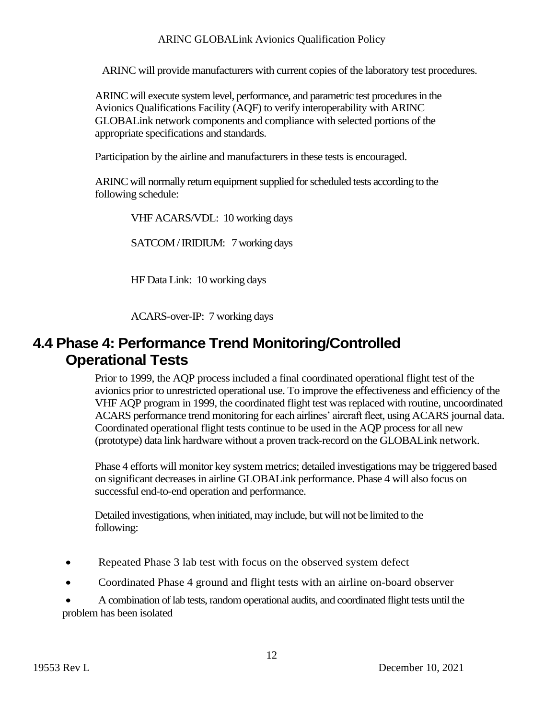ARINC will provide manufacturers with current copies of the laboratory test procedures.

ARINC will execute system level, performance, and parametric test procedures in the Avionics Qualifications Facility (AQF) to verify interoperability with ARINC GLOBALink network components and compliance with selected portions of the appropriate specifications and standards.

Participation by the airline and manufacturers in these tests is encouraged.

ARINC will normally return equipment supplied for scheduled tests according to the following schedule:

VHF ACARS/VDL: 10 working days

SATCOM / IRIDIUM: 7 working days

HF Data Link: 10 working days

ACARS-over-IP: 7 working days

#### **4.4 Phase 4: Performance Trend Monitoring/Controlled Operational Tests**

Prior to 1999, the AQP process included a final coordinated operational flight test of the avionics prior to unrestricted operational use. To improve the effectiveness and efficiency of the VHF AQP program in 1999, the coordinated flight test was replaced with routine, uncoordinated ACARS performance trend monitoring for each airlines' aircraft fleet, using ACARS journal data. Coordinated operational flight tests continue to be used in the AQP process for all new (prototype) data link hardware without a proven track-record on the GLOBALink network.

Phase 4 efforts will monitor key system metrics; detailed investigations may be triggered based on significant decreases in airline GLOBALink performance. Phase 4 will also focus on successful end-to-end operation and performance.

Detailed investigations, when initiated, may include, but will not be limited to the following:

- Repeated Phase 3 lab test with focus on the observed system defect
- Coordinated Phase 4 ground and flight tests with an airline on-board observer

• A combination of lab tests, random operational audits, and coordinated flight tests until the problem has been isolated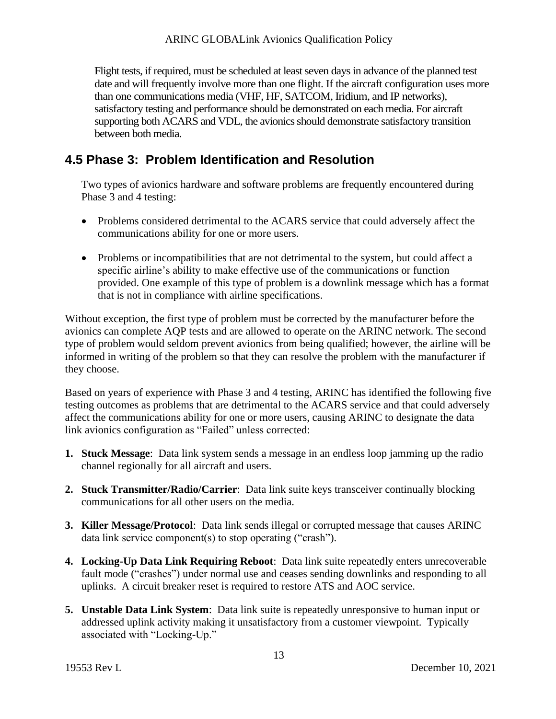Flight tests, if required, must be scheduled at least seven days in advance of the planned test date and will frequently involve more than one flight. If the aircraft configuration uses more than one communications media (VHF, HF, SATCOM, Iridium, and IP networks), satisfactory testing and performance should be demonstrated on each media. For aircraft supporting both ACARS and VDL, the avionics should demonstrate satisfactory transition between both media.

#### **4.5 Phase 3: Problem Identification and Resolution**

Two types of avionics hardware and software problems are frequently encountered during Phase 3 and 4 testing:

- Problems considered detrimental to the ACARS service that could adversely affect the communications ability for one or more users.
- Problems or incompatibilities that are not detrimental to the system, but could affect a specific airline's ability to make effective use of the communications or function provided. One example of this type of problem is a downlink message which has a format that is not in compliance with airline specifications.

Without exception, the first type of problem must be corrected by the manufacturer before the avionics can complete AQP tests and are allowed to operate on the ARINC network. The second type of problem would seldom prevent avionics from being qualified; however, the airline will be informed in writing of the problem so that they can resolve the problem with the manufacturer if they choose.

Based on years of experience with Phase 3 and 4 testing, ARINC has identified the following five testing outcomes as problems that are detrimental to the ACARS service and that could adversely affect the communications ability for one or more users, causing ARINC to designate the data link avionics configuration as "Failed" unless corrected:

- **1. Stuck Message**: Data link system sends a message in an endless loop jamming up the radio channel regionally for all aircraft and users.
- **2. Stuck Transmitter/Radio/Carrier**: Data link suite keys transceiver continually blocking communications for all other users on the media.
- **3. Killer Message/Protocol**: Data link sends illegal or corrupted message that causes ARINC data link service component(s) to stop operating ("crash").
- **4. Locking-Up Data Link Requiring Reboot**: Data link suite repeatedly enters unrecoverable fault mode ("crashes") under normal use and ceases sending downlinks and responding to all uplinks. A circuit breaker reset is required to restore ATS and AOC service.
- **5. Unstable Data Link System**: Data link suite is repeatedly unresponsive to human input or addressed uplink activity making it unsatisfactory from a customer viewpoint. Typically associated with "Locking-Up."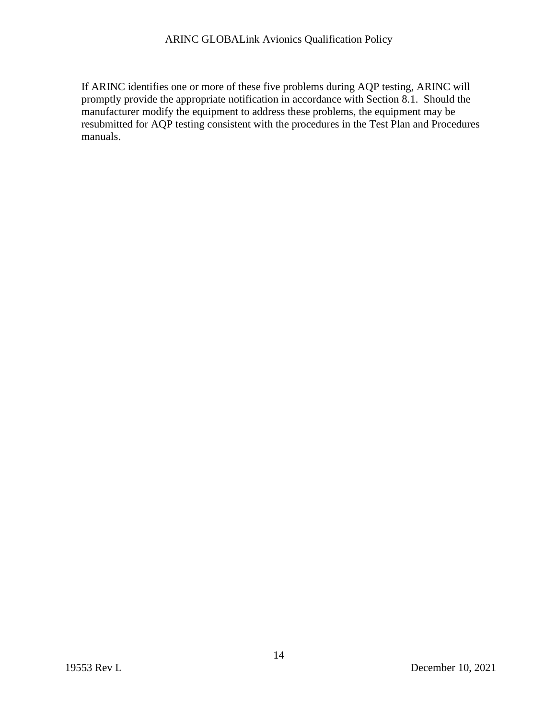If ARINC identifies one or more of these five problems during AQP testing, ARINC will promptly provide the appropriate notification in accordance with Section 8.1. Should the manufacturer modify the equipment to address these problems, the equipment may be resubmitted for AQP testing consistent with the procedures in the Test Plan and Procedures manuals.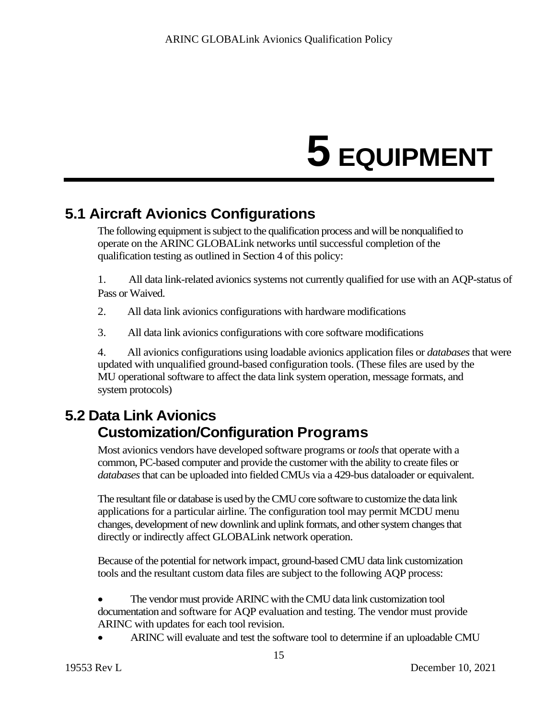# **5 EQUIPMENT**

## **5.1 Aircraft Avionics Configurations**

The following equipment is subject to the qualification process and will be nonqualified to operate on the ARINC GLOBALink networks until successful completion of the qualification testing as outlined in Section 4 of this policy:

1. All data link-related avionics systems not currently qualified for use with an AQP-status of Pass or Waived.

- 2. All data link avionics configurations with hardware modifications
- 3. All data link avionics configurations with core software modifications

4. All avionics configurations using loadable avionics application files or *databases*that were updated with unqualified ground-based configuration tools. (These files are used by the MU operational software to affect the data link system operation, message formats, and system protocols)

## **5.2 Data Link Avionics Customization/Configuration Programs**

Most avionics vendors have developed software programs or *tools*that operate with a common, PC-based computer and provide the customer with the ability to create files or *databases*that can be uploaded into fielded CMUs via a 429-bus dataloader or equivalent.

The resultant file or database is used by the CMU core software to customize the data link applications for a particular airline. The configuration tool may permit MCDU menu changes, development of new downlink and uplink formats, and other system changes that directly or indirectly affect GLOBALink network operation.

Because of the potential for network impact, ground-based CMU data link customization tools and the resultant custom data files are subject to the following AQP process:

- The vendor must provide ARINC with the CMU data link customization tool documentation and software for AQP evaluation and testing. The vendor must provide ARINC with updates for each tool revision.
- ARINC will evaluate and test the software tool to determine if an uploadable CMU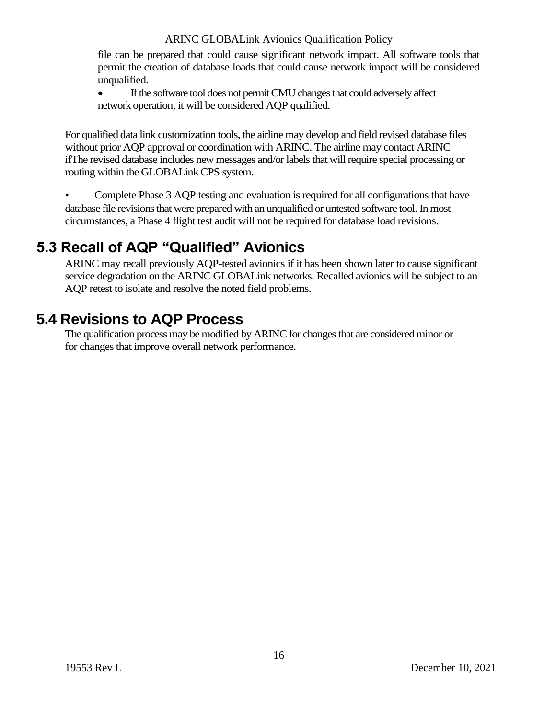file can be prepared that could cause significant network impact. All software tools that permit the creation of database loads that could cause network impact will be considered unqualified.

• If the software tool does not permit CMU changes that could adversely affect network operation, it will be considered AQP qualified.

For qualified data link customization tools, the airline may develop and field revised database files without prior AQP approval or coordination with ARINC. The airline may contact ARINC ifThe revised database includes new messages and/or labels that will require special processing or routing within the GLOBALink CPS system.

• Complete Phase 3 AQP testing and evaluation is required for all configurations that have database file revisions that were prepared with an unqualified or untested software tool. In most circumstances, a Phase 4 flight test audit will not be required for database load revisions.

### **5.3 Recall of AQP "Qualified" Avionics**

ARINC may recall previously AQP-tested avionics if it has been shown later to cause significant service degradation on the ARINC GLOBALink networks. Recalled avionics will be subject to an AQP retest to isolate and resolve the noted field problems.

#### **5.4 Revisions to AQP Process**

The qualification process may be modified by ARINC for changes that are considered minor or for changes that improve overall network performance.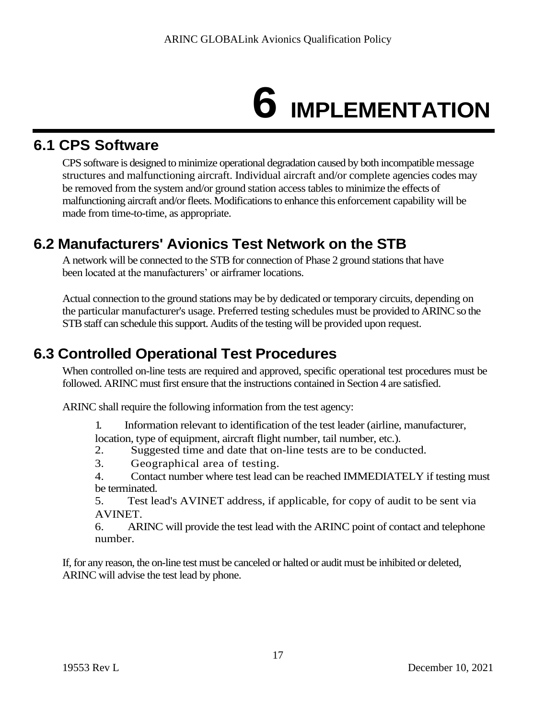# **6 IMPLEMENTATION**

### **6.1 CPS Software**

CPS software is designed to minimize operational degradation caused by both incompatible message structures and malfunctioning aircraft. Individual aircraft and/or complete agencies codes may be removed from the system and/or ground station access tables to minimize the effects of malfunctioning aircraft and/or fleets. Modifications to enhance this enforcement capability will be made from time-to-time, as appropriate.

## **6.2 Manufacturers' Avionics Test Network on the STB**

A network will be connected to the STB for connection of Phase 2 ground stations that have been located at the manufacturers' or airframer locations.

Actual connection to the ground stations may be by dedicated or temporary circuits, depending on the particular manufacturer's usage. Preferred testing schedules must be provided to ARINC so the STB staff can schedule this support. Audits of the testing will be provided upon request.

## **6.3 Controlled Operational Test Procedures**

When controlled on-line tests are required and approved, specific operational test procedures must be followed. ARINC must first ensure that the instructions contained in Section 4 are satisfied.

ARINC shall require the following information from the test agency:

1 . Information relevant to identification of the test leader (airline, manufacturer, location, type of equipment, aircraft flight number, tail number, etc.).

- 2. Suggested time and date that on-line tests are to be conducted.
- 3. Geographical area of testing.

4. Contact number where test lead can be reached IMMEDIATELY if testing must be terminated.

5. Test lead's AVINET address, if applicable, for copy of audit to be sent via AVINET.

6. ARINC will provide the test lead with the ARINC point of contact and telephone number.

If, for any reason, the on-line test must be canceled or halted or audit must be inhibited or deleted, ARINC will advise the test lead by phone.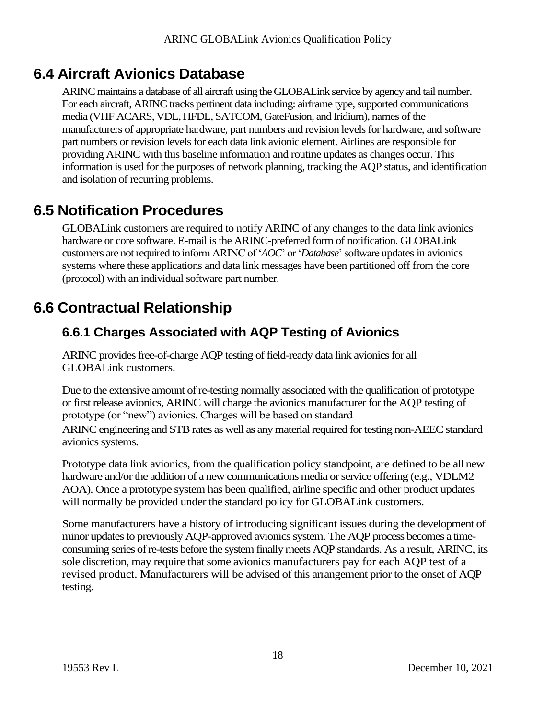#### **6.4 Aircraft Avionics Database**

ARINC maintains a database of all aircraft using the GLOBALink service by agency and tail number. For each aircraft, ARINC tracks pertinent data including: airframe type, supported communications media (VHF ACARS, VDL, HFDL, SATCOM, GateFusion, and Iridium), names of the manufacturers of appropriate hardware, part numbers and revision levels for hardware, and software part numbers or revision levels for each data link avionic element. Airlines are responsible for providing ARINC with this baseline information and routine updates as changes occur. This information is used for the purposes of network planning, tracking the AQP status, and identification and isolation of recurring problems.

#### **6.5 Notification Procedures**

GLOBALink customers are required to notify ARINC of any changes to the data link avionics hardware or core software. E-mail is the ARINC-preferred form of notification. GLOBALink customers are not required to inform ARINC of '*AOC*' or '*Database*' software updates in avionics systems where these applications and data link messages have been partitioned off from the core (protocol) with an individual software part number.

### **6.6 Contractual Relationship**

#### **6.6.1 Charges Associated with AQP Testing of Avionics**

ARINC provides free-of-charge AQP testing of field-ready data link avionics for all GLOBALink customers.

Due to the extensive amount of re-testing normally associated with the qualification of prototype or first release avionics, ARINC will charge the avionics manufacturer for the AQP testing of prototype (or "new") avionics. Charges will be based on standard ARINC engineering and STB rates as well as any material required for testing non-AEEC standard avionics systems.

Prototype data link avionics, from the qualification policy standpoint, are defined to be all new hardware and/or the addition of a new communications media or service offering (e.g., VDLM2 AOA). Once a prototype system has been qualified, airline specific and other product updates will normally be provided under the standard policy for GLOBALink customers.

Some manufacturers have a history of introducing significant issues during the development of minor updates to previously AQP-approved avionics system. The AQP process becomes a timeconsuming series of re-tests before the system finally meets AQP standards. As a result, ARINC, its sole discretion, may require that some avionics manufacturers pay for each AQP test of a revised product. Manufacturers will be advised of this arrangement prior to the onset of AQP testing.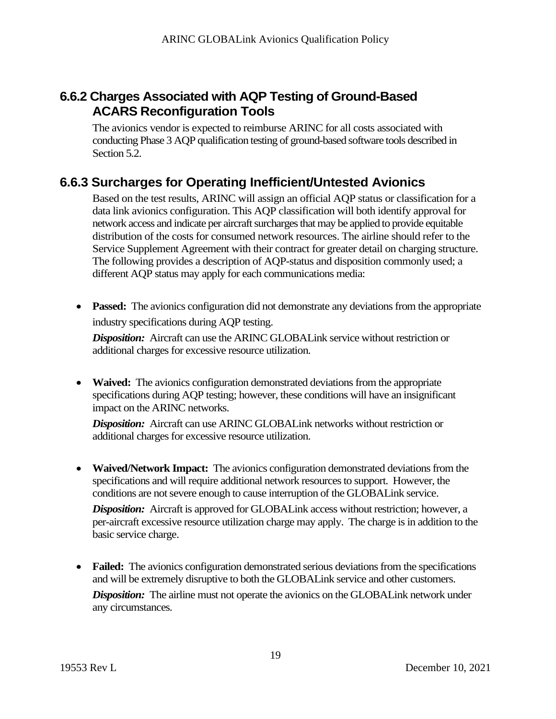#### **6.6.2 Charges Associated with AQP Testing of Ground-Based ACARS Reconfiguration Tools**

The avionics vendor is expected to reimburse ARINC for all costs associated with conducting Phase 3 AQP qualification testing of ground-based software tools described in Section 5.2.

#### **6.6.3 Surcharges for Operating Inefficient/Untested Avionics**

Based on the test results, ARINC will assign an official AQP status or classification for a data link avionics configuration. This AQP classification will both identify approval for network access and indicate per aircraft surcharges that may be applied to provide equitable distribution of the costs for consumed network resources. The airline should refer to the Service Supplement Agreement with their contract for greater detail on charging structure. The following provides a description of AQP-status and disposition commonly used; a different AQP status may apply for each communications media:

• **Passed:** The avionics configuration did not demonstrate any deviations from the appropriate industry specifications during AQP testing.

*Disposition:* Aircraft can use the ARINC GLOBALink service without restriction or additional charges for excessive resource utilization.

• **Waived:** The avionics configuration demonstrated deviations from the appropriate specifications during AQP testing; however, these conditions will have an insignificant impact on the ARINC networks.

*Disposition:* Aircraft can use ARINC GLOBALink networks without restriction or additional charges for excessive resource utilization.

• **Waived/Network Impact:** The avionics configuration demonstrated deviations from the specifications and will require additional network resources to support. However, the conditions are not severe enough to cause interruption of the GLOBALink service.

**Disposition:** Aircraft is approved for GLOBALink access without restriction; however, a per-aircraft excessive resource utilization charge may apply. The charge is in addition to the basic service charge.

• **Failed:** The avionics configuration demonstrated serious deviations from the specifications and will be extremely disruptive to both the GLOBALink service and other customers.

*Disposition:* The airline must not operate the avionics on the GLOBALink network under any circumstances.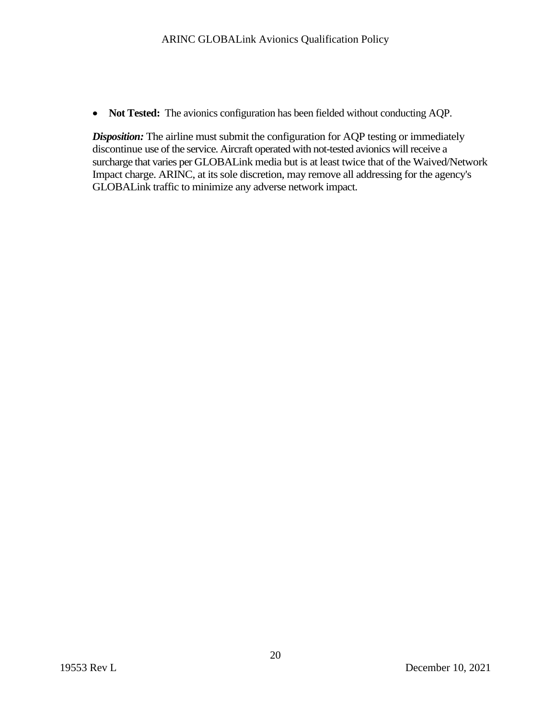• **Not Tested:** The avionics configuration has been fielded without conducting AQP.

**Disposition:** The airline must submit the configuration for AQP testing or immediately discontinue use of the service. Aircraft operated with not-tested avionics will receive a surcharge that varies per GLOBALink media but is at least twice that of the Waived/Network Impact charge. ARINC, at its sole discretion, may remove all addressing for the agency's GLOBALink traffic to minimize any adverse network impact.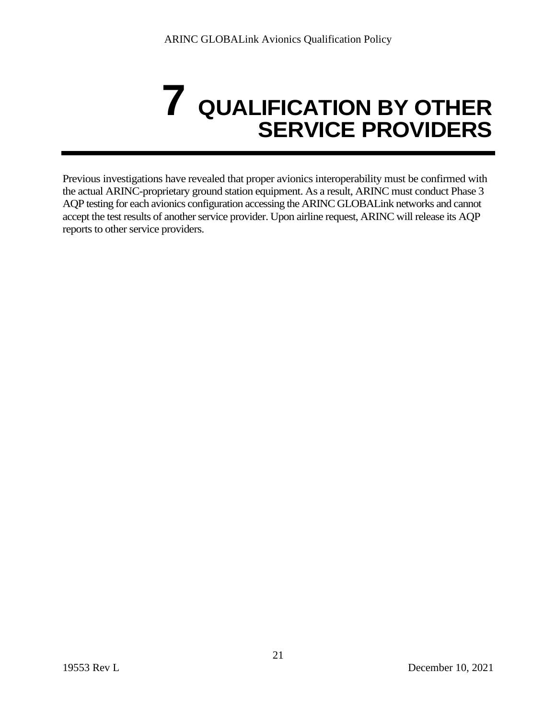# **7 QUALIFICATION BY OTHER SERVICE PROVIDERS**

Previous investigations have revealed that proper avionics interoperability must be confirmed with the actual ARINC-proprietary ground station equipment. As a result, ARINC must conduct Phase 3 AQP testing for each avionics configuration accessing the ARINC GLOBALink networks and cannot accept the test results of another service provider. Upon airline request, ARINC will release its AQP reports to other service providers.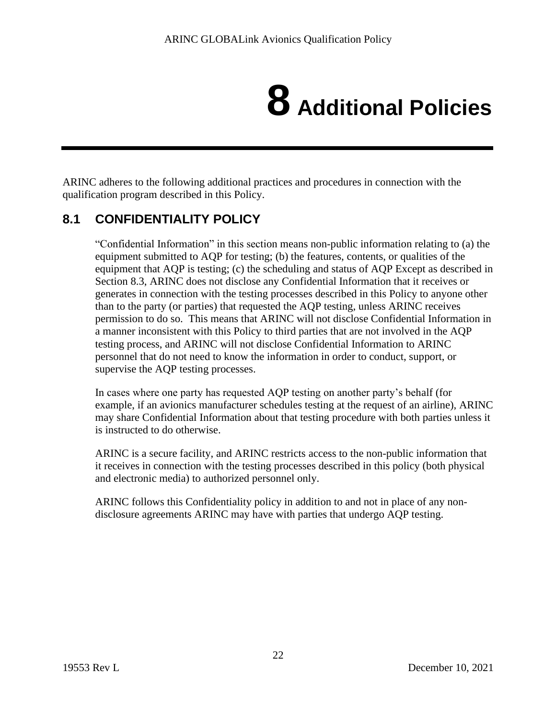# **8 Additional Policies**

ARINC adheres to the following additional practices and procedures in connection with the qualification program described in this Policy.

#### **8.1 CONFIDENTIALITY POLICY**

"Confidential Information" in this section means non-public information relating to (a) the equipment submitted to AQP for testing; (b) the features, contents, or qualities of the equipment that AQP is testing; (c) the scheduling and status of AQP Except as described in Section 8.3, ARINC does not disclose any Confidential Information that it receives or generates in connection with the testing processes described in this Policy to anyone other than to the party (or parties) that requested the AQP testing, unless ARINC receives permission to do so. This means that ARINC will not disclose Confidential Information in a manner inconsistent with this Policy to third parties that are not involved in the AQP testing process, and ARINC will not disclose Confidential Information to ARINC personnel that do not need to know the information in order to conduct, support, or supervise the AQP testing processes.

In cases where one party has requested AQP testing on another party's behalf (for example, if an avionics manufacturer schedules testing at the request of an airline), ARINC may share Confidential Information about that testing procedure with both parties unless it is instructed to do otherwise.

ARINC is a secure facility, and ARINC restricts access to the non-public information that it receives in connection with the testing processes described in this policy (both physical and electronic media) to authorized personnel only.

ARINC follows this Confidentiality policy in addition to and not in place of any nondisclosure agreements ARINC may have with parties that undergo AQP testing.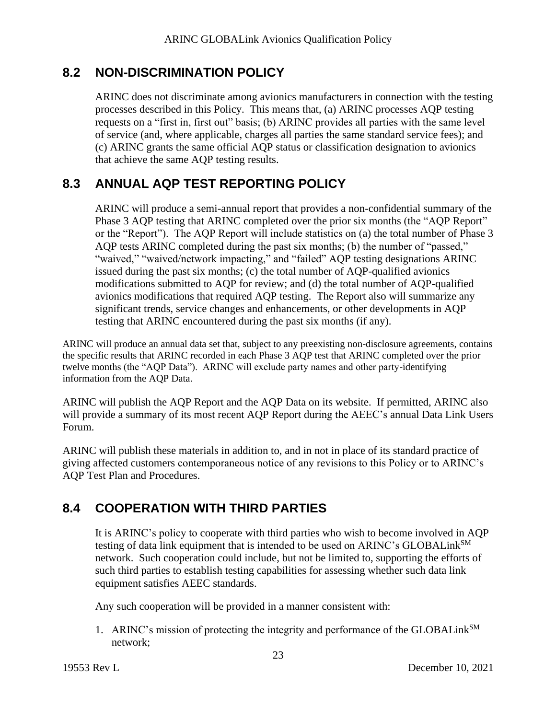#### **8.2 NON-DISCRIMINATION POLICY**

ARINC does not discriminate among avionics manufacturers in connection with the testing processes described in this Policy. This means that, (a) ARINC processes AQP testing requests on a "first in, first out" basis; (b) ARINC provides all parties with the same level of service (and, where applicable, charges all parties the same standard service fees); and (c) ARINC grants the same official AQP status or classification designation to avionics that achieve the same AQP testing results.

#### **8.3 ANNUAL AQP TEST REPORTING POLICY**

ARINC will produce a semi-annual report that provides a non-confidential summary of the Phase 3 AQP testing that ARINC completed over the prior six months (the "AQP Report" or the "Report"). The AQP Report will include statistics on (a) the total number of Phase 3 AQP tests ARINC completed during the past six months; (b) the number of "passed," "waived," "waived/network impacting," and "failed" AQP testing designations ARINC issued during the past six months; (c) the total number of AQP-qualified avionics modifications submitted to AQP for review; and (d) the total number of AQP-qualified avionics modifications that required AQP testing. The Report also will summarize any significant trends, service changes and enhancements, or other developments in AQP testing that ARINC encountered during the past six months (if any).

ARINC will produce an annual data set that, subject to any preexisting non-disclosure agreements, contains the specific results that ARINC recorded in each Phase 3 AQP test that ARINC completed over the prior twelve months (the "AQP Data"). ARINC will exclude party names and other party-identifying information from the AQP Data.

ARINC will publish the AQP Report and the AQP Data on its website. If permitted, ARINC also will provide a summary of its most recent AQP Report during the AEEC's annual Data Link Users Forum.

ARINC will publish these materials in addition to, and in not in place of its standard practice of giving affected customers contemporaneous notice of any revisions to this Policy or to ARINC's AQP Test Plan and Procedures.

#### **8.4 COOPERATION WITH THIRD PARTIES**

It is ARINC's policy to cooperate with third parties who wish to become involved in AQP testing of data link equipment that is intended to be used on ARINC's GLOBALink<sup>SM</sup> network. Such cooperation could include, but not be limited to, supporting the efforts of such third parties to establish testing capabilities for assessing whether such data link equipment satisfies AEEC standards.

Any such cooperation will be provided in a manner consistent with:

1. ARINC's mission of protecting the integrity and performance of the GLOBALink<sup>SM</sup> network;